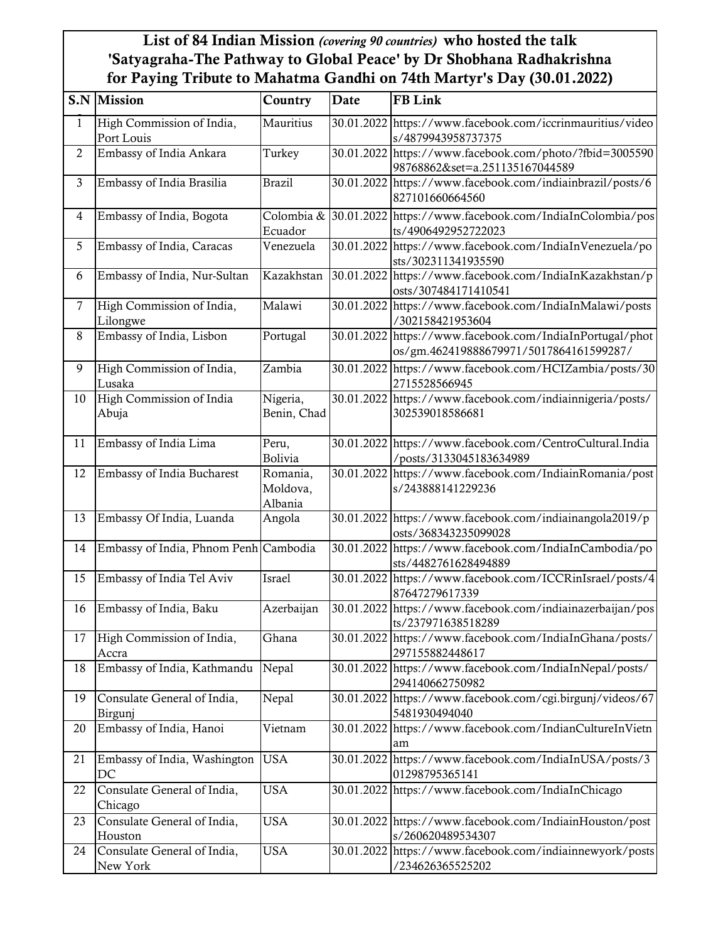## List of 84 Indian Mission *(covering 90 countries)* who hosted the talk 'Satyagraha-The Pathway to Global Peace' by Dr Shobhana Radhakrishna for Paying Tribute to Mahatma Gandhi on 74th Martyr's Day (30.01.2022)

|                | <b>S.N</b> Mission                      | Country                         | Date | <b>FB Link</b>                                                                                      |
|----------------|-----------------------------------------|---------------------------------|------|-----------------------------------------------------------------------------------------------------|
| 1              | High Commission of India,<br>Port Louis | Mauritius                       |      | 30.01.2022 https://www.facebook.com/iccrinmauritius/video<br>s/4879943958737375                     |
| $\overline{2}$ | Embassy of India Ankara                 | Turkey                          |      | 30.01.2022 https://www.facebook.com/photo/?fbid=3005590<br>98768862&set=a.251135167044589           |
| 3              | Embassy of India Brasilia               | <b>Brazil</b>                   |      | 30.01.2022 https://www.facebook.com/indiainbrazil/posts/6<br>827101660664560                        |
| 4              | Embassy of India, Bogota                | Ecuador                         |      | Colombia & 30.01.2022 https://www.facebook.com/IndiaInColombia/pos<br>ts/4906492952722023           |
| 5              | Embassy of India, Caracas               | Venezuela                       |      | 30.01.2022 https://www.facebook.com/IndiaInVenezuela/po<br>sts/302311341935590                      |
| 6              | Embassy of India, Nur-Sultan            | Kazakhstan                      |      | 30.01.2022 https://www.facebook.com/IndiaInKazakhstan/p<br>osts/307484171410541                     |
| $\overline{7}$ | High Commission of India,<br>Lilongwe   | Malawi                          |      | 30.01.2022 https://www.facebook.com/IndiaInMalawi/posts<br>/302158421953604                         |
| 8              | Embassy of India, Lisbon                | Portugal                        |      | 30.01.2022 https://www.facebook.com/IndiaInPortugal/phot<br>os/gm.462419888679971/5017864161599287/ |
| 9              | High Commission of India,<br>Lusaka     | Zambia                          |      | 30.01.2022 https://www.facebook.com/HCIZambia/posts/30<br>2715528566945                             |
| 10             | High Commission of India<br>Abuja       | Nigeria,<br>Benin, Chad         |      | 30.01.2022 https://www.facebook.com/indiainnigeria/posts/<br>302539018586681                        |
| 11             | Embassy of India Lima                   | Peru,<br>Bolivia                |      | 30.01.2022 https://www.facebook.com/CentroCultural.India<br>/posts/3133045183634989                 |
| 12             | Embassy of India Bucharest              | Romania,<br>Moldova,<br>Albania |      | 30.01.2022 https://www.facebook.com/IndiainRomania/post<br>s/243888141229236                        |
| 13             | Embassy Of India, Luanda                | Angola                          |      | 30.01.2022 https://www.facebook.com/indiainangola2019/p<br>osts/368343235099028                     |
| 14             | Embassy of India, Phnom Penh Cambodia   |                                 |      | 30.01.2022 https://www.facebook.com/IndiaInCambodia/po<br>sts/4482761628494889                      |
| 15             | Embassy of India Tel Aviv               | Israel                          |      | 30.01.2022 https://www.facebook.com/ICCRinIsrael/posts/4<br>87647279617339                          |
| 16             | Embassy of India, Baku                  | Azerbaijan                      |      | 30.01.2022 https://www.facebook.com/indiainazerbaijan/pos<br>ts/237971638518289                     |
| 17             | High Commission of India,<br>Accra      | Ghana                           |      | 30.01.2022 https://www.facebook.com/IndiaInGhana/posts/<br>297155882448617                          |
| 18             | Embassy of India, Kathmandu             | <b>Nepal</b>                    |      | 30.01.2022 https://www.facebook.com/IndiaInNepal/posts/<br>294140662750982                          |
| 19             | Consulate General of India,<br>Birgunj  | Nepal                           |      | 30.01.2022 https://www.facebook.com/cgi.birgunj/videos/67<br>5481930494040                          |
| 20             | Embassy of India, Hanoi                 | Vietnam                         |      | 30.01.2022 https://www.facebook.com/IndianCultureInVietn<br>am                                      |
| 21             | Embassy of India, Washington<br>DC      | <b>USA</b>                      |      | 30.01.2022 https://www.facebook.com/IndiaInUSA/posts/3<br>01298795365141                            |
| 22             | Consulate General of India,<br>Chicago  | <b>USA</b>                      |      | 30.01.2022 https://www.facebook.com/IndiaInChicago                                                  |
| 23             | Consulate General of India,<br>Houston  | USA                             |      | 30.01.2022 https://www.facebook.com/IndiainHouston/post<br>s/260620489534307                        |
| 24             | Consulate General of India,<br>New York | USA                             |      | 30.01.2022 https://www.facebook.com/indiainnewyork/posts<br>/234626365525202                        |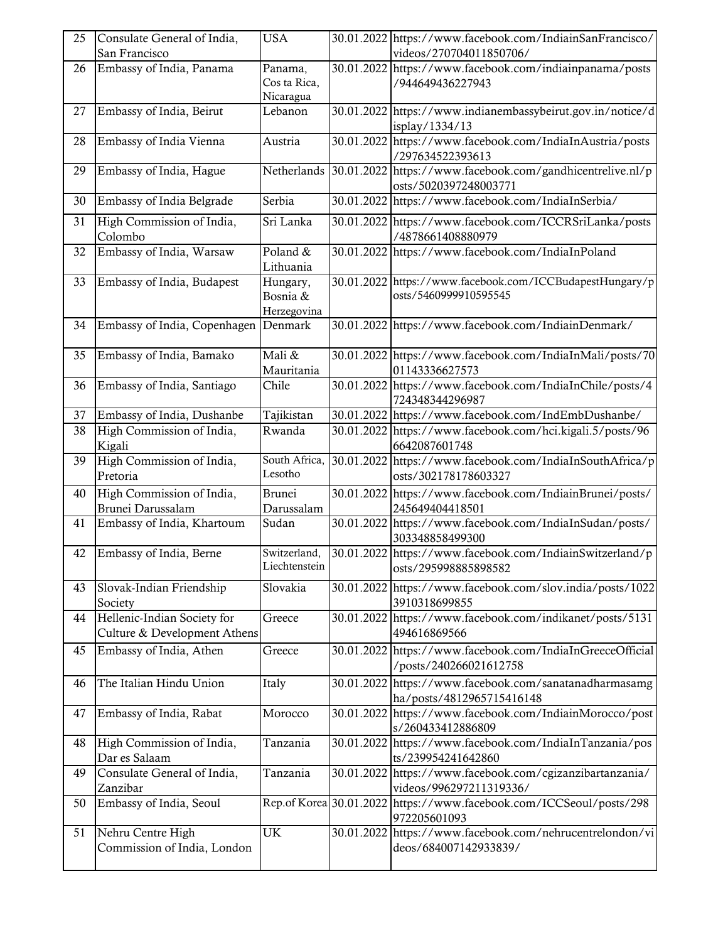| 25 | Consulate General of India,  | <b>USA</b>    | 30.01.2022 https://www.facebook.com/IndiainSanFrancisco/                            |
|----|------------------------------|---------------|-------------------------------------------------------------------------------------|
|    | San Francisco                |               | videos/270704011850706/                                                             |
| 26 | Embassy of India, Panama     | Panama,       | 30.01.2022 https://www.facebook.com/indiainpanama/posts                             |
|    |                              | Cos ta Rica,  | /944649436227943                                                                    |
|    |                              | Nicaragua     |                                                                                     |
| 27 | Embassy of India, Beirut     | Lebanon       | 30.01.2022 https://www.indianembassybeirut.gov.in/notice/d                          |
|    |                              |               | isplay/1334/13                                                                      |
| 28 | Embassy of India Vienna      | Austria       | 30.01.2022 https://www.facebook.com/IndiaInAustria/posts                            |
|    |                              |               | /297634522393613                                                                    |
| 29 | Embassy of India, Hague      | Netherlands   | 30.01.2022 https://www.facebook.com/gandhicentrelive.nl/p                           |
|    |                              |               | osts/5020397248003771                                                               |
| 30 | Embassy of India Belgrade    | Serbia        | 30.01.2022 https://www.facebook.com/IndiaInSerbia/                                  |
| 31 | High Commission of India,    | Sri Lanka     | 30.01.2022 https://www.facebook.com/ICCRSriLanka/posts                              |
|    | Colombo                      |               | /4878661408880979                                                                   |
| 32 | Embassy of India, Warsaw     | Poland &      | 30.01.2022 https://www.facebook.com/IndiaInPoland                                   |
|    |                              | Lithuania     |                                                                                     |
| 33 | Embassy of India, Budapest   | Hungary,      | 30.01.2022 https://www.facebook.com/ICCBudapestHungary/p                            |
|    |                              | Bosnia &      | osts/5460999910595545                                                               |
|    |                              | Herzegovina   |                                                                                     |
| 34 | Embassy of India, Copenhagen | Denmark       | 30.01.2022 https://www.facebook.com/IndiainDenmark/                                 |
|    |                              |               |                                                                                     |
| 35 | Embassy of India, Bamako     | Mali &        | 30.01.2022 https://www.facebook.com/IndiaInMali/posts/70                            |
|    |                              | Mauritania    | 01143336627573                                                                      |
| 36 | Embassy of India, Santiago   | Chile         | 30.01.2022 https://www.facebook.com/IndiaInChile/posts/4                            |
|    |                              |               | 724348344296987                                                                     |
| 37 | Embassy of India, Dushanbe   | Tajikistan    | 30.01.2022 https://www.facebook.com/IndEmbDushanbe/                                 |
| 38 | High Commission of India,    | Rwanda        | 30.01.2022 https://www.facebook.com/hci.kigali.5/posts/96                           |
|    | Kigali                       |               | 6642087601748                                                                       |
| 39 | High Commission of India,    | South Africa, | 30.01.2022 https://www.facebook.com/IndiaInSouthAfrica/p                            |
|    | Pretoria                     | Lesotho       | osts/302178178603327                                                                |
| 40 | High Commission of India,    | <b>Brunei</b> | 30.01.2022 https://www.facebook.com/IndiainBrunei/posts/                            |
|    |                              |               |                                                                                     |
|    |                              |               |                                                                                     |
|    | Brunei Darussalam            | Darussalam    | 245649404418501                                                                     |
| 41 | Embassy of India, Khartoum   | Sudan         | 30.01.2022 https://www.facebook.com/IndiaInSudan/posts/                             |
|    |                              |               | 303348858499300                                                                     |
| 42 | Embassy of India, Berne      | Switzerland,  | 30.01.2022 https://www.facebook.com/IndiainSwitzerland/p                            |
|    |                              | Liechtenstein | osts/295998885898582                                                                |
| 43 | Slovak-Indian Friendship     | Slovakia      | 30.01.2022 https://www.facebook.com/slov.india/posts/1022                           |
|    | Society                      |               | 3910318699855                                                                       |
| 44 | Hellenic-Indian Society for  | Greece        | 30.01.2022 https://www.facebook.com/indikanet/posts/5131                            |
|    | Culture & Development Athens |               | 494616869566                                                                        |
|    |                              |               |                                                                                     |
| 45 | Embassy of India, Athen      | Greece        | 30.01.2022 https://www.facebook.com/IndiaInGreeceOfficial                           |
|    |                              |               | /posts/240266021612758                                                              |
| 46 | The Italian Hindu Union      | Italy         | 30.01.2022 https://www.facebook.com/sanatanadharmasamg                              |
|    |                              |               | ha/posts/4812965715416148                                                           |
| 47 | Embassy of India, Rabat      | Morocco       | 30.01.2022 https://www.facebook.com/IndiainMorocco/post                             |
|    |                              |               | s/260433412886809                                                                   |
| 48 | High Commission of India,    | Tanzania      | 30.01.2022 https://www.facebook.com/IndiaInTanzania/pos                             |
|    | Dar es Salaam                |               | ts/239954241642860                                                                  |
| 49 | Consulate General of India,  | Tanzania      | 30.01.2022 https://www.facebook.com/cgizanzibartanzania/                            |
|    | Zanzibar                     |               | videos/996297211319336/                                                             |
| 50 | Embassy of India, Seoul      |               |                                                                                     |
|    |                              |               | Rep.of Korea 30.01.2022 https://www.facebook.com/ICCSeoul/posts/298<br>972205601093 |
|    |                              | <b>UK</b>     |                                                                                     |
| 51 | Nehru Centre High            |               | 30.01.2022 https://www.facebook.com/nehrucentrelondon/vi                            |
|    | Commission of India, London  |               | deos/684007142933839/                                                               |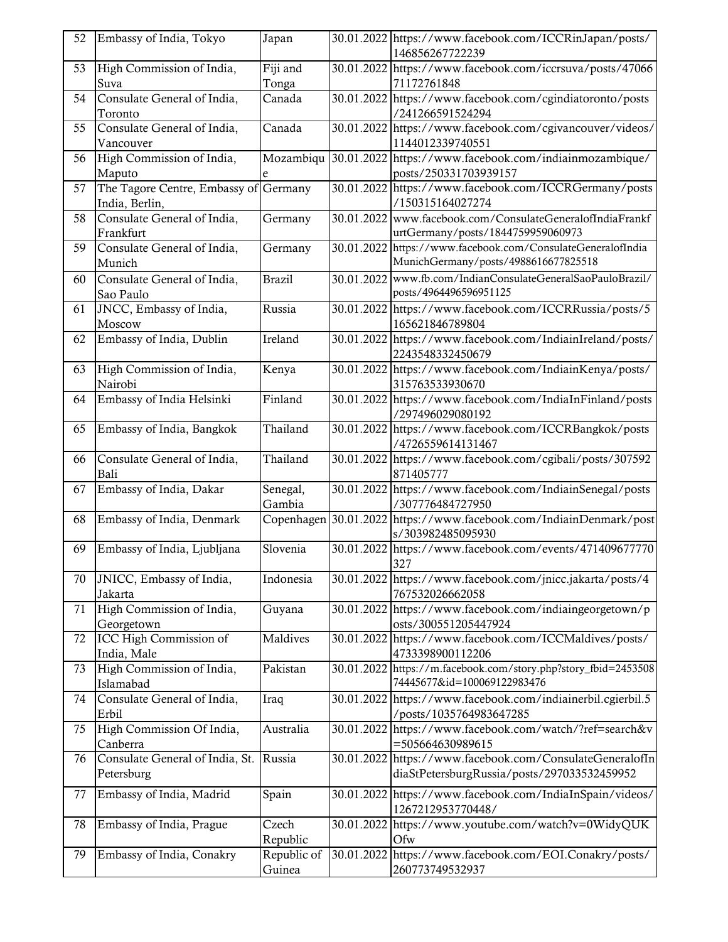| 52 | Embassy of India, Tokyo                                 | Japan         |            | 30.01.2022 https://www.facebook.com/ICCRinJapan/posts/<br>146856267722239 |
|----|---------------------------------------------------------|---------------|------------|---------------------------------------------------------------------------|
| 53 | High Commission of India,                               | Fiji and      |            | 30.01.2022 https://www.facebook.com/iccrsuva/posts/47066                  |
|    | Suva                                                    | Tonga         |            | 71172761848                                                               |
| 54 | Consulate General of India,                             | Canada        |            | 30.01.2022 https://www.facebook.com/cgindiatoronto/posts                  |
|    | Toronto                                                 |               |            | /241266591524294                                                          |
| 55 | Consulate General of India,                             | Canada        |            | 30.01.2022 https://www.facebook.com/cgivancouver/videos/                  |
|    | Vancouver                                               |               |            | 1144012339740551                                                          |
| 56 | High Commission of India,                               | Mozambiqu     |            | 30.01.2022 https://www.facebook.com/indiainmozambique/                    |
|    |                                                         |               |            |                                                                           |
|    | Maputo                                                  | e             |            | posts/250331703939157                                                     |
| 57 | The Tagore Centre, Embassy of Germany<br>India, Berlin, |               |            | 30.01.2022 https://www.facebook.com/ICCRGermany/posts<br>/150315164027274 |
| 58 | Consulate General of India,                             | Germany       |            | 30.01.2022 www.facebook.com/ConsulateGeneralofIndiaFrankf                 |
|    | Frankfurt                                               |               |            | urtGermany/posts/1844759959060973                                         |
| 59 | Consulate General of India,                             | Germany       |            | 30.01.2022 https://www.facebook.com/ConsulateGeneralofIndia               |
|    | Munich                                                  |               |            | MunichGermany/posts/4988616677825518                                      |
| 60 | Consulate General of India,                             | <b>Brazil</b> | 30.01.2022 | www.fb.com/IndianConsulateGeneralSaoPauloBrazil/                          |
|    | Sao Paulo                                               |               |            | posts/4964496596951125                                                    |
| 61 | JNCC, Embassy of India,                                 | Russia        |            | 30.01.2022 https://www.facebook.com/ICCRRussia/posts/5                    |
|    | Moscow                                                  |               |            | 165621846789804                                                           |
|    |                                                         |               |            |                                                                           |
| 62 | Embassy of India, Dublin                                | Ireland       |            | 30.01.2022 https://www.facebook.com/IndiainIreland/posts/                 |
|    |                                                         |               |            | 2243548332450679                                                          |
| 63 | High Commission of India,                               | Kenya         |            | 30.01.2022 https://www.facebook.com/IndiainKenya/posts/                   |
|    | Nairobi                                                 |               |            | 315763533930670                                                           |
| 64 | Embassy of India Helsinki                               | Finland       |            | 30.01.2022 https://www.facebook.com/IndiaInFinland/posts                  |
|    |                                                         |               |            | /297496029080192                                                          |
| 65 | Embassy of India, Bangkok                               | Thailand      |            | 30.01.2022 https://www.facebook.com/ICCRBangkok/posts                     |
|    |                                                         |               |            | /4726559614131467                                                         |
| 66 | Consulate General of India,                             | Thailand      |            | 30.01.2022 https://www.facebook.com/cgibali/posts/307592                  |
|    | Bali                                                    |               |            | 871405777                                                                 |
| 67 | Embassy of India, Dakar                                 | Senegal,      |            | 30.01.2022 https://www.facebook.com/IndiainSenegal/posts                  |
|    |                                                         | Gambia        |            | /307776484727950                                                          |
| 68 | Embassy of India, Denmark                               | Copenhagen    |            | 30.01.2022 https://www.facebook.com/IndiainDenmark/post                   |
|    |                                                         |               |            | s/303982485095930                                                         |
| 69 | Embassy of India, Ljubljana                             | Slovenia      |            | 30.01.2022 https://www.facebook.com/events/471409677770                   |
|    |                                                         |               |            | 327                                                                       |
| 70 | JNICC, Embassy of India,                                | Indonesia     |            | 30.01.2022 https://www.facebook.com/jnicc.jakarta/posts/4                 |
|    |                                                         |               |            |                                                                           |
|    | Jakarta                                                 |               |            | 767532026662058                                                           |
| 71 | High Commission of India,                               | Guyana        |            | 30.01.2022 https://www.facebook.com/indiaingeorgetown/p                   |
|    | Georgetown                                              |               |            | osts/300551205447924                                                      |
| 72 | ICC High Commission of                                  | Maldives      |            | 30.01.2022 https://www.facebook.com/ICCMaldives/posts/                    |
|    | India, Male                                             |               |            | 4733398900112206                                                          |
| 73 | High Commission of India,                               | Pakistan      |            | 30.01.2022 https://m.facebook.com/story.php?story_fbid=2453508            |
|    | Islamabad                                               |               |            | 74445677&id=100069122983476                                               |
| 74 | Consulate General of India,                             | Iraq          |            | 30.01.2022 https://www.facebook.com/indiainerbil.cgierbil.5               |
|    | Erbil                                                   |               |            | /posts/1035764983647285                                                   |
| 75 | High Commission Of India,                               | Australia     |            | 30.01.2022 https://www.facebook.com/watch/?ref=search&v                   |
|    | Canberra                                                |               |            | =505664630989615                                                          |
| 76 | Consulate General of India, St.                         | Russia        |            | 30.01.2022 https://www.facebook.com/ConsulateGeneralofIn                  |
|    | Petersburg                                              |               |            | diaStPetersburgRussia/posts/297033532459952                               |
|    |                                                         |               |            |                                                                           |
| 77 | Embassy of India, Madrid                                | Spain         |            | 30.01.2022 https://www.facebook.com/IndiaInSpain/videos/                  |
|    |                                                         |               |            | 1267212953770448/                                                         |
| 78 | Embassy of India, Prague                                | Czech         |            | 30.01.2022 https://www.youtube.com/watch?v=0WidyQUK                       |
|    |                                                         | Republic      |            | Ofw                                                                       |
| 79 | Embassy of India, Conakry                               | Republic of   |            | 30.01.2022 https://www.facebook.com/EOI.Conakry/posts/                    |
|    |                                                         | Guinea        |            | 260773749532937                                                           |
|    |                                                         |               |            |                                                                           |